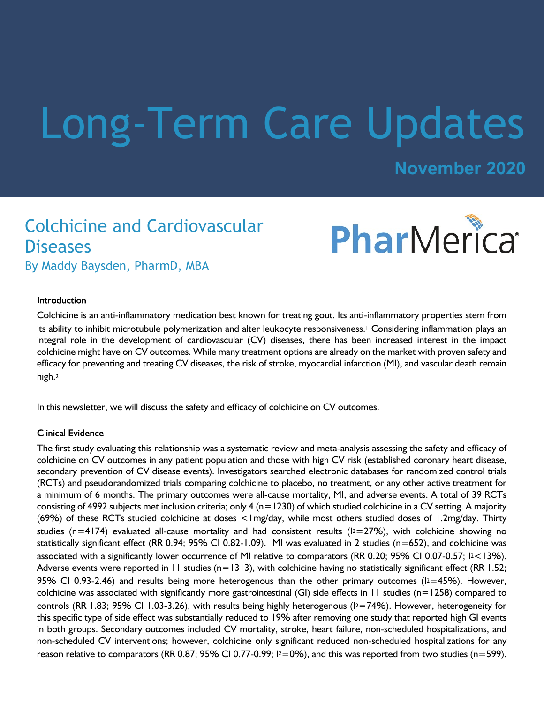# Long-Term Care Updates

**November 2020**

# Colchicine and Cardiovascular **Diseases** By Maddy Baysden, PharmD, MBA



## Introduction

Colchicine is an anti-inflammatory medication best known for treating gout. Its anti-inflammatory properties stem from its ability to inhibit microtubule polymerization and alter leukocyte responsiveness.1 Considering inflammation plays an integral role in the development of cardiovascular (CV) diseases, there has been increased interest in the impact colchicine might have on CV outcomes. While many treatment options are already on the market with proven safety and efficacy for preventing and treating CV diseases, the risk of stroke, myocardial infarction (MI), and vascular death remain high.<sup>2</sup>

In this newsletter, we will discuss the safety and efficacy of colchicine on CV outcomes.

#### **Clinical Evidence**

The first study evaluating this relationship was a systematic review and meta-analysis assessing the safety and efficacy of colchicine on CV outcomes in any patient population and those with high CV risk (established coronary heart disease, secondary prevention of CV disease events). Investigators searched electronic databases for randomized control trials (RCTs) and pseudorandomized trials comparing colchicine to placebo, no treatment, or any other active treatment for a minimum of 6 months. The primary outcomes were all-cause mortality, MI, and adverse events. A total of 39 RCTs consisting of 4992 subjects met inclusion criteria; only 4 ( $n=1230$ ) of which studied colchicine in a CV setting. A majority (69%) of these RCTs studied colchicine at doses  $\leq$  Img/day, while most others studied doses of 1.2mg/day. Thirty studies (n=4174) evaluated all-cause mortality and had consistent results ( $12=27\%$ ), with colchicine showing no statistically significant effect (RR 0.94; 95% CI 0.82-1.09). MI was evaluated in 2 studies (n=652), and colchicine was associated with a significantly lower occurrence of MI relative to comparators (RR 0.20; 95% CI 0.07-0.57; I2<13%). Adverse events were reported in 11 studies ( $n=1313$ ), with colchicine having no statistically significant effect (RR 1.52; 95% CI 0.93-2.46) and results being more heterogenous than the other primary outcomes ( $12=45$ %). However, colchicine was associated with significantly more gastrointestinal (GI) side effects in 11 studies ( $n=1258$ ) compared to controls (RR 1.83; 95% CI 1.03-3.26), with results being highly heterogenous ( $12=74%$ ). However, heterogeneity for this specific type of side effect was substantially reduced to 19% after removing one study that reported high GI events in both groups. Secondary outcomes included CV mortality, stroke, heart failure, non-scheduled hospitalizations, and non-scheduled CV interventions; however, colchicine only significant reduced non-scheduled hospitalizations for any reason relative to comparators (RR 0.87; 95% CI 0.77-0.99;  $12=0\%$ ), and this was reported from two studies (n=599).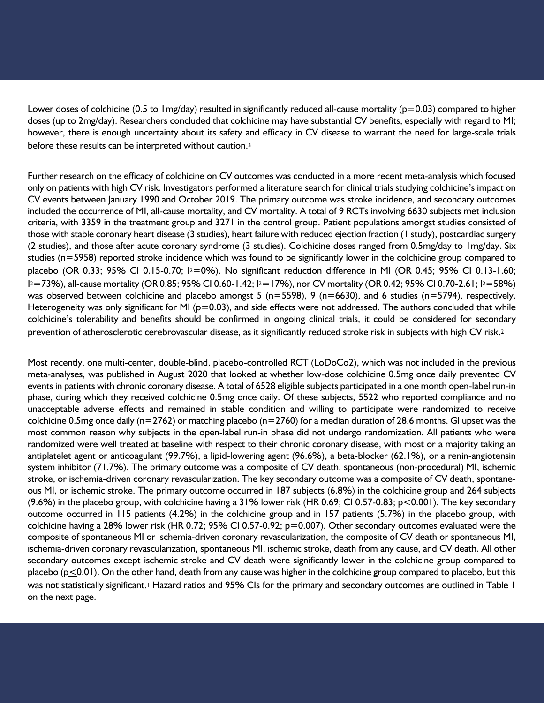Lower doses of colchicine (0.5 to 1mg/day) resulted in significantly reduced all-cause mortality ( $p=0.03$ ) compared to higher doses (up to 2mg/day). Researchers concluded that colchicine may have substantial CV benefits, especially with regard to MI; however, there is enough uncertainty about its safety and efficacy in CV disease to warrant the need for large-scale trials before these results can be interpreted without caution.<sup>3</sup>

Further research on the efficacy of colchicine on CV outcomes was conducted in a more recent meta-analysis which focused only on patients with high CV risk. Investigators performed a literature search for clinical trials studying colchicine's impact on CV events between January 1990 and October 2019. The primary outcome was stroke incidence, and secondary outcomes included the occurrence of MI, all-cause mortality, and CV mortality. A total of 9 RCTs involving 6630 subjects met inclusion criteria, with 3359 in the treatment group and 3271 in the control group. Patient populations amongst studies consisted of those with stable coronary heart disease (3 studies), heart failure with reduced ejection fraction (1 study), postcardiac surgery (2 studies), and those after acute coronary syndrome (3 studies). Colchicine doses ranged from 0.5mg/day to 1mg/day. Six studies (n=5958) reported stroke incidence which was found to be significantly lower in the colchicine group compared to placebo (OR 0.33; 95% CI 0.15-0.70; I2=0%). No significant reduction difference in MI (OR 0.45; 95% CI 0.13-1.60; I <sup>2</sup>=73%), all-cause mortality (OR 0.85; 95% CI 0.60-1.42; I2=17%), nor CV mortality (OR 0.42; 95% CI 0.70-2.61; I2=58%) was observed between colchicine and placebo amongst 5 ( $n=5598$ ), 9 ( $n=6630$ ), and 6 studies ( $n=5794$ ), respectively. Heterogeneity was only significant for MI ( $p=0.03$ ), and side effects were not addressed. The authors concluded that while colchicine's tolerability and benefits should be confirmed in ongoing clinical trials, it could be considered for secondary prevention of atherosclerotic cerebrovascular disease, as it significantly reduced stroke risk in subjects with high CV risk.<sup>2</sup>

Most recently, one multi-center, double-blind, placebo-controlled RCT (LoDoCo2), which was not included in the previous meta-analyses, was published in August 2020 that looked at whether low-dose colchicine 0.5mg once daily prevented CV events in patients with chronic coronary disease. A total of 6528 eligible subjects participated in a one month open-label run-in phase, during which they received colchicine 0.5mg once daily. Of these subjects, 5522 who reported compliance and no unacceptable adverse effects and remained in stable condition and willing to participate were randomized to receive colchicine 0.5mg once daily ( $n=2762$ ) or matching placebo ( $n=2760$ ) for a median duration of 28.6 months. GI upset was the most common reason why subjects in the open-label run-in phase did not undergo randomization. All patients who were randomized were well treated at baseline with respect to their chronic coronary disease, with most or a majority taking an antiplatelet agent or anticoagulant (99.7%), a lipid-lowering agent (96.6%), a beta-blocker (62.1%), or a renin-angiotensin system inhibitor (71.7%). The primary outcome was a composite of CV death, spontaneous (non-procedural) MI, ischemic stroke, or ischemia-driven coronary revascularization. The key secondary outcome was a composite of CV death, spontaneous MI, or ischemic stroke. The primary outcome occurred in 187 subjects (6.8%) in the colchicine group and 264 subjects (9.6%) in the placebo group, with colchicine having a 31% lower risk (HR 0.69; CI 0.57-0.83; p<0.001). The key secondary outcome occurred in 115 patients (4.2%) in the colchicine group and in 157 patients (5.7%) in the placebo group, with colchicine having a 28% lower risk (HR 0.72; 95% CI 0.57-0.92; p=0.007). Other secondary outcomes evaluated were the composite of spontaneous MI or ischemia-driven coronary revascularization, the composite of CV death or spontaneous MI, ischemia-driven coronary revascularization, spontaneous MI, ischemic stroke, death from any cause, and CV death. All other secondary outcomes except ischemic stroke and CV death were significantly lower in the colchicine group compared to placebo ( $p \le 0.01$ ). On the other hand, death from any cause was higher in the colchicine group compared to placebo, but this was not statistically significant.<sup>1</sup> Hazard ratios and 95% CIs for the primary and secondary outcomes are outlined in Table 1 on the next page.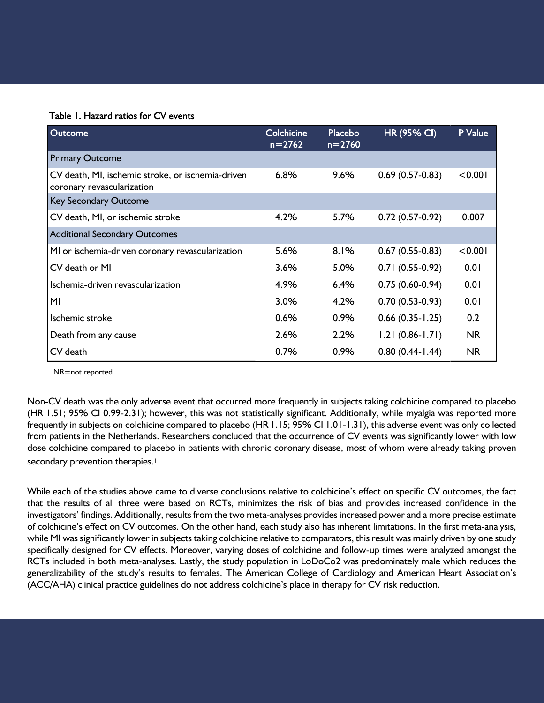# Table 1. Hazard ratios for CV events

| <b>Outcome</b>                                                                  | Colchicine<br>$n = 2762$ | Placebo<br>$n = 2760$ | <b>HR (95% CI)</b>  | P Value   |
|---------------------------------------------------------------------------------|--------------------------|-----------------------|---------------------|-----------|
| <b>Primary Outcome</b>                                                          |                          |                       |                     |           |
| CV death, MI, ischemic stroke, or ischemia-driven<br>coronary revascularization | 6.8%                     | 9.6%                  | $0.69(0.57-0.83)$   | < 0.001   |
| Key Secondary Outcome                                                           |                          |                       |                     |           |
| CV death, MI, or ischemic stroke                                                | 4.2%                     | 5.7%                  | $0.72(0.57-0.92)$   | 0.007     |
| <b>Additional Secondary Outcomes</b>                                            |                          |                       |                     |           |
| MI or ischemia-driven coronary revascularization                                | 5.6%                     | 8.1%                  | $0.67(0.55-0.83)$   | < 0.001   |
| CV death or MI                                                                  | 3.6%                     | 5.0%                  | $0.71(0.55-0.92)$   | 0.01      |
| Ischemia-driven revascularization                                               | 4.9%                     | 6.4%                  | $0.75(0.60-0.94)$   | 0.01      |
| M <sub>l</sub>                                                                  | 3.0%                     | 4.2%                  | $0.70(0.53-0.93)$   | 0.01      |
| Ischemic stroke                                                                 | 0.6%                     | 0.9%                  | $0.66(0.35 - 1.25)$ | 0.2       |
| Death from any cause                                                            | 2.6%                     | 2.2%                  | $1.21(0.86 - 1.71)$ | <b>NR</b> |
| CV death                                                                        | 0.7%                     | 0.9%                  | $0.80(0.44 - 1.44)$ | <b>NR</b> |

NR=not reported

Non-CV death was the only adverse event that occurred more frequently in subjects taking colchicine compared to placebo (HR 1.51; 95% CI 0.99-2.31); however, this was not statistically significant. Additionally, while myalgia was reported more frequently in subjects on colchicine compared to placebo (HR 1.15; 95% CI 1.01-1.31), this adverse event was only collected from patients in the Netherlands. Researchers concluded that the occurrence of CV events was significantly lower with low dose colchicine compared to placebo in patients with chronic coronary disease, most of whom were already taking proven secondary prevention therapies.<sup>1</sup>

While each of the studies above came to diverse conclusions relative to colchicine's effect on specific CV outcomes, the fact that the results of all three were based on RCTs, minimizes the risk of bias and provides increased confidence in the investigators' findings. Additionally, results from the two meta-analyses provides increased power and a more precise estimate of colchicine's effect on CV outcomes. On the other hand, each study also has inherent limitations. In the first meta-analysis, while MI was significantly lower in subjects taking colchicine relative to comparators, this result was mainly driven by one study specifically designed for CV effects. Moreover, varying doses of colchicine and follow-up times were analyzed amongst the RCTs included in both meta-analyses. Lastly, the study population in LoDoCo2 was predominately male which reduces the generalizability of the study's results to females. The American College of Cardiology and American Heart Association's (ACC/AHA) clinical practice guidelines do not address colchicine's place in therapy for CV risk reduction.